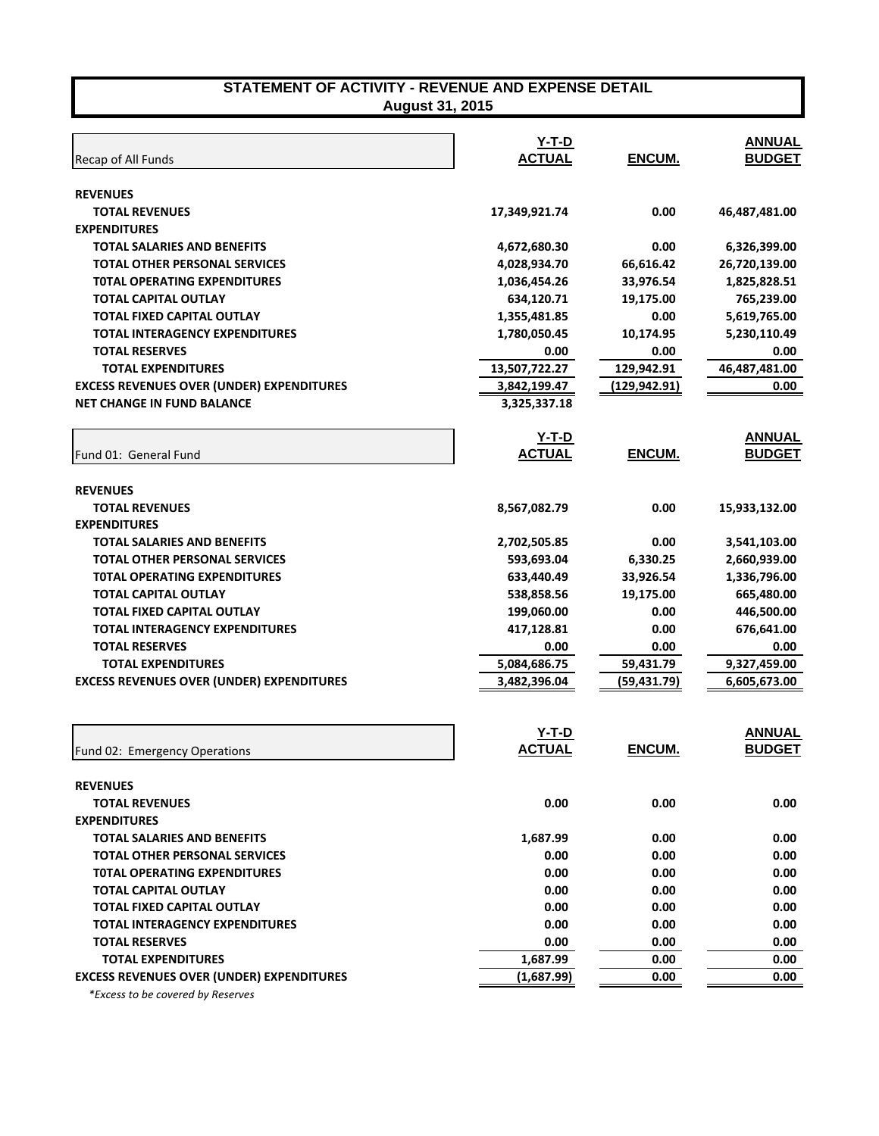| Recap of All Funds                               | Y-T-D<br>ACTUAL | ENCUM.        | <b>ANNUAL</b><br><b>BUDGET</b> |
|--------------------------------------------------|-----------------|---------------|--------------------------------|
| <b>REVENUES</b>                                  |                 |               |                                |
| <b>TOTAL REVENUES</b>                            | 17,349,921.74   | 0.00          | 46,487,481.00                  |
| <b>EXPENDITURES</b>                              |                 |               |                                |
| <b>TOTAL SALARIES AND BENEFITS</b>               | 4,672,680.30    | 0.00          | 6,326,399.00                   |
| <b>TOTAL OTHER PERSONAL SERVICES</b>             | 4,028,934.70    | 66,616.42     | 26,720,139.00                  |
| <b>TOTAL OPERATING EXPENDITURES</b>              | 1,036,454.26    | 33,976.54     | 1,825,828.51                   |
| <b>TOTAL CAPITAL OUTLAY</b>                      | 634,120.71      | 19,175.00     | 765,239.00                     |
| <b>TOTAL FIXED CAPITAL OUTLAY</b>                | 1,355,481.85    | 0.00          | 5,619,765.00                   |
| <b>TOTAL INTERAGENCY EXPENDITURES</b>            | 1,780,050.45    | 10,174.95     | 5,230,110.49                   |
| <b>TOTAL RESERVES</b>                            | 0.00            | 0.00          | 0.00                           |
| <b>TOTAL EXPENDITURES</b>                        | 13,507,722.27   | 129,942.91    | 46,487,481.00                  |
| <b>EXCESS REVENUES OVER (UNDER) EXPENDITURES</b> | 3,842,199.47    | (129, 942.91) | 0.00                           |
| <b>NET CHANGE IN FUND BALANCE</b>                | 3,325,337.18    |               |                                |
|                                                  | <u>Y-T-D</u>    |               | <b>ANNUAL</b>                  |
| Fund 01: General Fund                            | <b>ACTUAL</b>   | ENCUM.        | <b>BUDGET</b>                  |
| <b>REVENUES</b>                                  |                 |               |                                |
| <b>TOTAL REVENUES</b>                            | 8,567,082.79    | 0.00          | 15,933,132.00                  |
| <b>EXPENDITURES</b>                              |                 |               |                                |
| <b>TOTAL SALARIES AND BENEFITS</b>               | 2,702,505.85    | 0.00          | 3,541,103.00                   |
| <b>TOTAL OTHER PERSONAL SERVICES</b>             | 593,693.04      | 6,330.25      | 2,660,939.00                   |
| <b>TOTAL OPERATING EXPENDITURES</b>              | 633,440.49      | 33,926.54     | 1,336,796.00                   |
| <b>TOTAL CAPITAL OUTLAY</b>                      | 538,858.56      | 19,175.00     | 665,480.00                     |
| <b>TOTAL FIXED CAPITAL OUTLAY</b>                | 199,060.00      | 0.00          | 446,500.00                     |
| <b>TOTAL INTERAGENCY EXPENDITURES</b>            | 417,128.81      | 0.00          | 676,641.00                     |
| <b>TOTAL RESERVES</b>                            | 0.00            | 0.00          | 0.00                           |
| <b>TOTAL EXPENDITURES</b>                        | 5,084,686.75    | 59,431.79     | 9,327,459.00                   |
| <b>EXCESS REVENUES OVER (UNDER) EXPENDITURES</b> | 3,482,396.04    | (59, 431.79)  | 6,605,673.00                   |
|                                                  |                 |               |                                |
|                                                  | Y-T-D           |               | <b>ANNUAL</b>                  |
| Fund 02: Emergency Operations                    | <b>ACTUAL</b>   | <b>ENCUM.</b> | <b>BUDGET</b>                  |
| <b>REVENUES</b>                                  |                 |               |                                |
| <b>TOTAL REVENUES</b>                            | 0.00            | 0.00          | 0.00                           |
| <b>EXPENDITURES</b>                              |                 |               |                                |
| <b>TOTAL SALARIES AND BENEFITS</b>               | 1,687.99        | 0.00          | 0.00                           |
| <b>TOTAL OTHER PERSONAL SERVICES</b>             | 0.00            | 0.00          | 0.00                           |
| <b>TOTAL OPERATING EXPENDITURES</b>              | 0.00            | 0.00          | 0.00                           |
| <b>TOTAL CAPITAL OUTLAY</b>                      | 0.00            | 0.00          | 0.00                           |
| <b>TOTAL FIXED CAPITAL OUTLAY</b>                | 0.00            | 0.00          | 0.00                           |
| <b>TOTAL INTERAGENCY EXPENDITURES</b>            | 0.00            | 0.00          | 0.00                           |
| <b>TOTAL RESERVES</b>                            | 0.00            | 0.00          | 0.00                           |
| <b>TOTAL EXPENDITURES</b>                        | 1,687.99        | 0.00          | 0.00                           |
| <b>EXCESS REVENUES OVER (UNDER) EXPENDITURES</b> | (1,687.99)      | 0.00          | 0.00                           |

 *\*Excess to be covered by Reserves*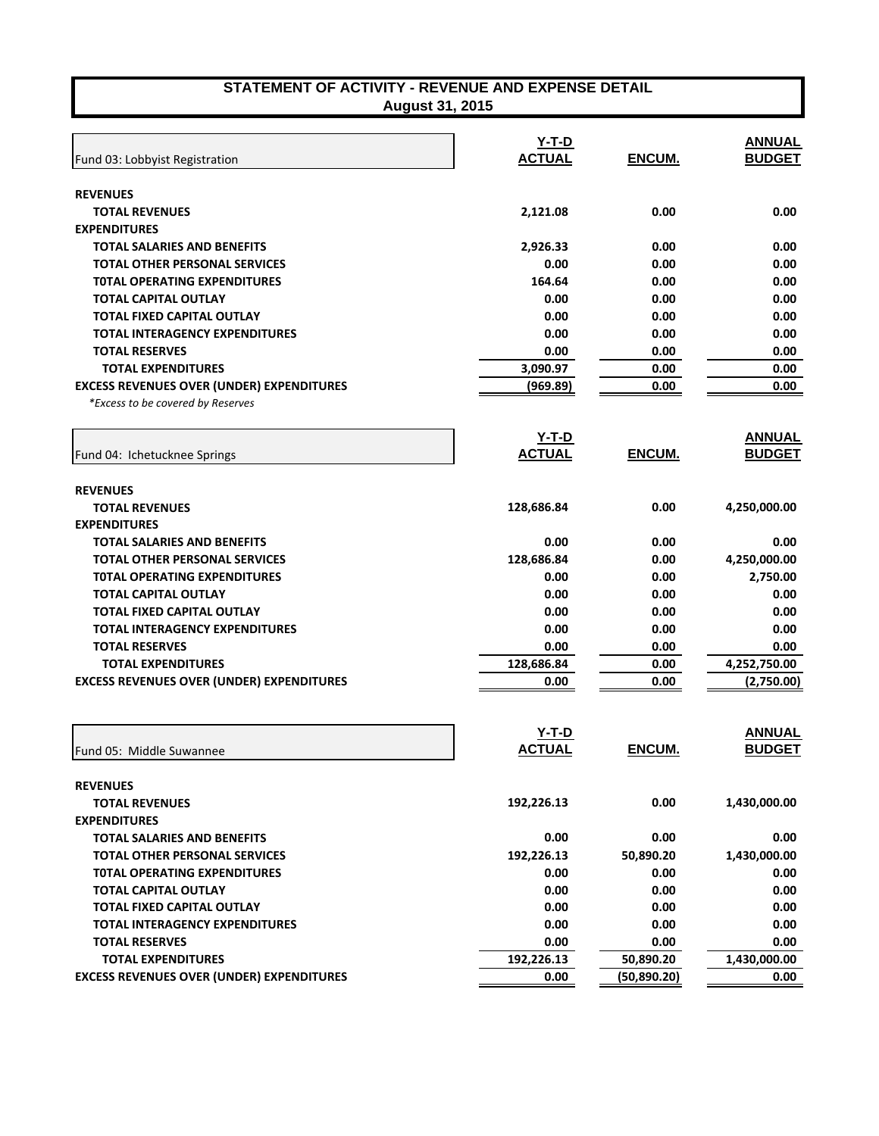| STATEMENT OF ACTIVITY - REVENUE AND EXPENSE DETAIL<br>August 31, 2015 |               |              |               |
|-----------------------------------------------------------------------|---------------|--------------|---------------|
|                                                                       |               |              |               |
|                                                                       | Y-T-D         |              | <b>ANNUAL</b> |
| Fund 03: Lobbyist Registration                                        | <b>ACTUAL</b> | ENCUM.       | <b>BUDGET</b> |
| <b>REVENUES</b>                                                       |               |              |               |
| <b>TOTAL REVENUES</b>                                                 | 2,121.08      | 0.00         | 0.00          |
| <b>EXPENDITURES</b>                                                   |               |              |               |
| <b>TOTAL SALARIES AND BENEFITS</b>                                    | 2,926.33      | 0.00         | 0.00          |
| <b>TOTAL OTHER PERSONAL SERVICES</b>                                  | 0.00          | 0.00         | 0.00          |
| <b>TOTAL OPERATING EXPENDITURES</b>                                   | 164.64        | 0.00         | 0.00          |
| <b>TOTAL CAPITAL OUTLAY</b>                                           | 0.00          | 0.00         | 0.00          |
| <b>TOTAL FIXED CAPITAL OUTLAY</b>                                     | 0.00          | 0.00         | 0.00          |
| TOTAL INTERAGENCY EXPENDITURES                                        | 0.00          | 0.00         | 0.00          |
| <b>TOTAL RESERVES</b>                                                 | 0.00          | 0.00         | 0.00          |
| <b>TOTAL EXPENDITURES</b>                                             | 3,090.97      | 0.00         | 0.00          |
| <b>EXCESS REVENUES OVER (UNDER) EXPENDITURES</b>                      | (969.89)      | 0.00         | 0.00          |
| *Excess to be covered by Reserves                                     |               |              |               |
|                                                                       | $Y-T-D$       |              | <b>ANNUAL</b> |
| Fund 04: Ichetucknee Springs                                          | <b>ACTUAL</b> | ENCUM.       | <b>BUDGET</b> |
|                                                                       |               |              |               |
| <b>REVENUES</b>                                                       |               |              |               |
| <b>TOTAL REVENUES</b>                                                 | 128,686.84    | 0.00         | 4,250,000.00  |
| <b>EXPENDITURES</b>                                                   |               |              |               |
| <b>TOTAL SALARIES AND BENEFITS</b>                                    | 0.00          | 0.00         | 0.00          |
| <b>TOTAL OTHER PERSONAL SERVICES</b>                                  | 128,686.84    | 0.00         | 4,250,000.00  |
| <b>TOTAL OPERATING EXPENDITURES</b>                                   | 0.00          | 0.00         | 2,750.00      |
| TOTAL CAPITAL OUTLAY                                                  | 0.00          | 0.00         | 0.00          |
| <b>TOTAL FIXED CAPITAL OUTLAY</b>                                     | 0.00          | 0.00         | 0.00          |
| TOTAL INTERAGENCY EXPENDITURES                                        | 0.00          | 0.00         | 0.00          |
| <b>TOTAL RESERVES</b>                                                 | 0.00          | 0.00         | 0.00          |
| <b>TOTAL EXPENDITURES</b>                                             | 128,686.84    | 0.00         | 4,252,750.00  |
| <b>EXCESS REVENUES OVER (UNDER) EXPENDITURES</b>                      | 0.00          | 0.00         | (2,750.00)    |
|                                                                       |               |              |               |
|                                                                       | <u>Y-T-D</u>  |              | <b>ANNUAL</b> |
| Fund 05: Middle Suwannee                                              | <b>ACTUAL</b> | ENCUM.       | <b>BUDGET</b> |
| <b>REVENUES</b>                                                       |               |              |               |
| <b>TOTAL REVENUES</b>                                                 | 192,226.13    | 0.00         | 1,430,000.00  |
| <b>EXPENDITURES</b>                                                   |               |              |               |
| <b>TOTAL SALARIES AND BENEFITS</b>                                    | 0.00          | 0.00         | 0.00          |
| <b>TOTAL OTHER PERSONAL SERVICES</b>                                  | 192,226.13    | 50,890.20    | 1,430,000.00  |
| <b>TOTAL OPERATING EXPENDITURES</b>                                   | 0.00          | 0.00         | 0.00          |
| <b>TOTAL CAPITAL OUTLAY</b>                                           | 0.00          | 0.00         | 0.00          |
| <b>TOTAL FIXED CAPITAL OUTLAY</b>                                     | 0.00          | 0.00         | 0.00          |
| <b>TOTAL INTERAGENCY EXPENDITURES</b>                                 | 0.00          | 0.00         | 0.00          |
| <b>TOTAL RESERVES</b>                                                 | 0.00          | 0.00         | 0.00          |
| <b>TOTAL EXPENDITURES</b>                                             | 192,226.13    | 50,890.20    | 1,430,000.00  |
| <b>EXCESS REVENUES OVER (UNDER) EXPENDITURES</b>                      | 0.00          | (50, 890.20) | 0.00          |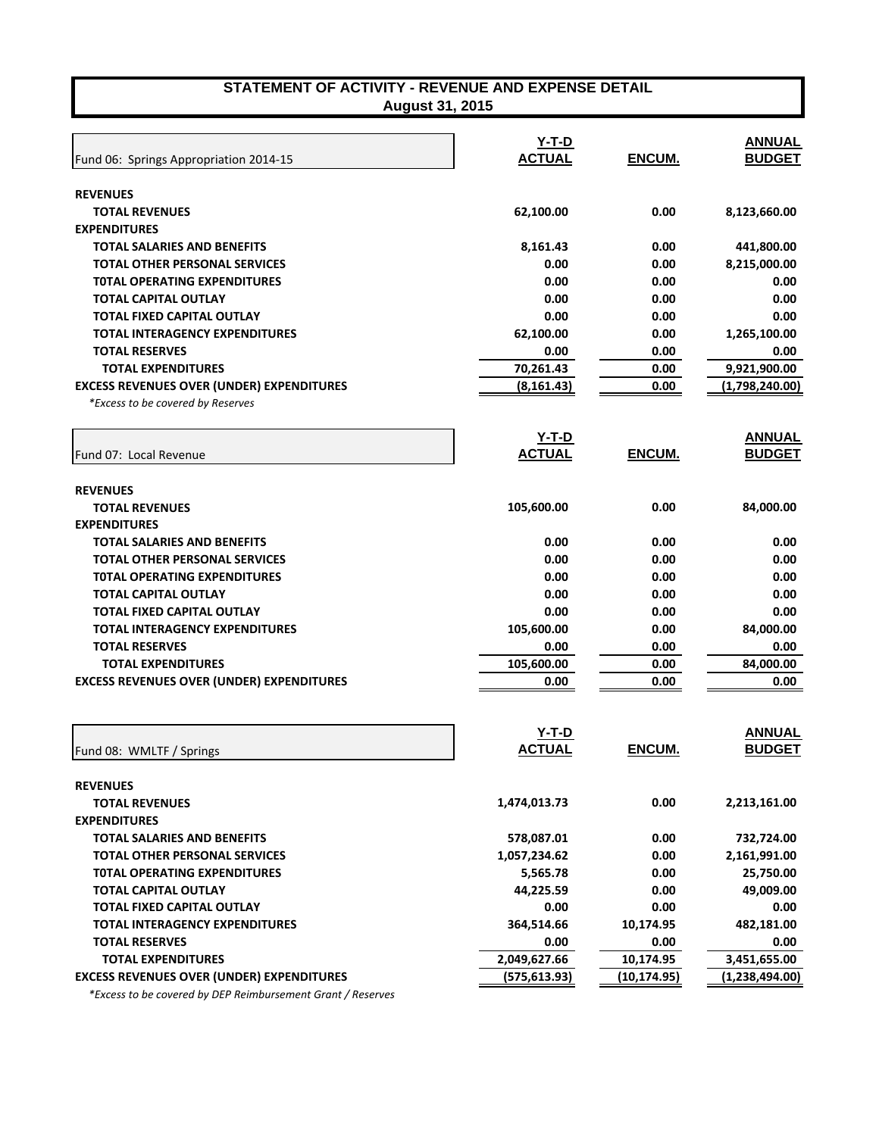| Fund 06: Springs Appropriation 2014-15           | $Y-T-D$<br><b>ACTUAL</b> | ENCUM. | <b>ANNUAL</b><br><b>BUDGET</b> |
|--------------------------------------------------|--------------------------|--------|--------------------------------|
| <b>REVENUES</b>                                  |                          |        |                                |
| <b>TOTAL REVENUES</b>                            | 62,100.00                | 0.00   | 8,123,660.00                   |
| <b>EXPENDITURES</b>                              |                          |        |                                |
| <b>TOTAL SALARIES AND BENEFITS</b>               | 8,161.43                 | 0.00   | 441,800.00                     |
| <b>TOTAL OTHER PERSONAL SERVICES</b>             | 0.00                     | 0.00   | 8,215,000.00                   |
| <b>TOTAL OPERATING EXPENDITURES</b>              | 0.00                     | 0.00   | 0.00                           |
| <b>TOTAL CAPITAL OUTLAY</b>                      | 0.00                     | 0.00   | 0.00                           |
| TOTAL FIXED CAPITAL OUTLAY                       | 0.00                     | 0.00   | 0.00                           |
| <b>TOTAL INTERAGENCY EXPENDITURES</b>            | 62,100.00                | 0.00   | 1,265,100.00                   |
| <b>TOTAL RESERVES</b>                            | 0.00                     | 0.00   | 0.00                           |
| <b>TOTAL EXPENDITURES</b>                        | 70,261.43                | 0.00   | 9,921,900.00                   |
| <b>EXCESS REVENUES OVER (UNDER) EXPENDITURES</b> | (8, 161.43)              | 0.00   | (1,798,240.00)                 |
| *Excess to be covered by Reserves                |                          |        |                                |
| Fund 07: Local Revenue                           | Y-T-D<br><b>ACTUAL</b>   | ENCUM. | <b>ANNUAL</b><br><b>BUDGET</b> |
| <b>REVENUES</b>                                  |                          |        |                                |
| <b>TOTAL REVENUES</b>                            | 105,600.00               | 0.00   | 84,000.00                      |
| <b>EXPENDITURES</b>                              |                          |        |                                |
| <b>TOTAL SALARIES AND BENEFITS</b>               | 0.00                     | 0.00   | 0.00                           |
| <b>TOTAL OTHER PERSONAL SERVICES</b>             | 0.00                     | 0.00   | 0.00                           |
| <b>TOTAL OPERATING EXPENDITURES</b>              | 0.00                     | 0.00   | 0.00                           |
| <b>TOTAL CAPITAL OUTLAY</b>                      | 0.00                     | 0.00   | 0.00                           |
| <b>TOTAL FIXED CAPITAL OUTLAY</b>                | 0.00                     | 0.00   | 0.00                           |
| TOTAL INTERAGENCY EXPENDITURES                   | 105,600.00               | 0.00   | 84,000.00                      |
| <b>TOTAL RESERVES</b>                            | 0.00                     | 0.00   | 0.00                           |
| <b>TOTAL EXPENDITURES</b>                        | 105,600.00               | 0.00   | 84,000.00                      |
| <b>EXCESS REVENUES OVER (UNDER) EXPENDITURES</b> | 0.00                     | 0.00   | 0.00                           |
|                                                  | v T N                    |        | <b>ANIMITAL</b>                |

| Fund 08: WMLTF / Springs                         | Y-T-D<br><b>ACTUAL</b> | ENCUM.       | <b>ANNUAL</b><br><b>BUDGET</b> |
|--------------------------------------------------|------------------------|--------------|--------------------------------|
| <b>REVENUES</b>                                  |                        |              |                                |
| <b>TOTAL REVENUES</b>                            | 1,474,013.73           | 0.00         | 2,213,161.00                   |
| <b>EXPENDITURES</b>                              |                        |              |                                |
| TOTAL SALARIES AND BENEFITS                      | 578,087.01             | 0.00         | 732,724.00                     |
| <b>TOTAL OTHER PERSONAL SERVICES</b>             | 1,057,234.62           | 0.00         | 2,161,991.00                   |
| <b>TOTAL OPERATING EXPENDITURES</b>              | 5,565.78               | 0.00         | 25,750.00                      |
| <b>TOTAL CAPITAL OUTLAY</b>                      | 44,225.59              | 0.00         | 49,009.00                      |
| TOTAL FIXED CAPITAL OUTLAY                       | 0.00                   | 0.00         | 0.00                           |
| <b>TOTAL INTERAGENCY EXPENDITURES</b>            | 364,514.66             | 10,174.95    | 482,181.00                     |
| <b>TOTAL RESERVES</b>                            | 0.00                   | 0.00         | 0.00                           |
| <b>TOTAL EXPENDITURES</b>                        | 2,049,627.66           | 10,174.95    | 3,451,655.00                   |
| <b>EXCESS REVENUES OVER (UNDER) EXPENDITURES</b> | (575, 613.93)          | (10, 174.95) | (1,238,494.00)                 |
|                                                  |                        |              |                                |

 *\*Excess to be covered by DEP Reimbursement Grant / Reserves*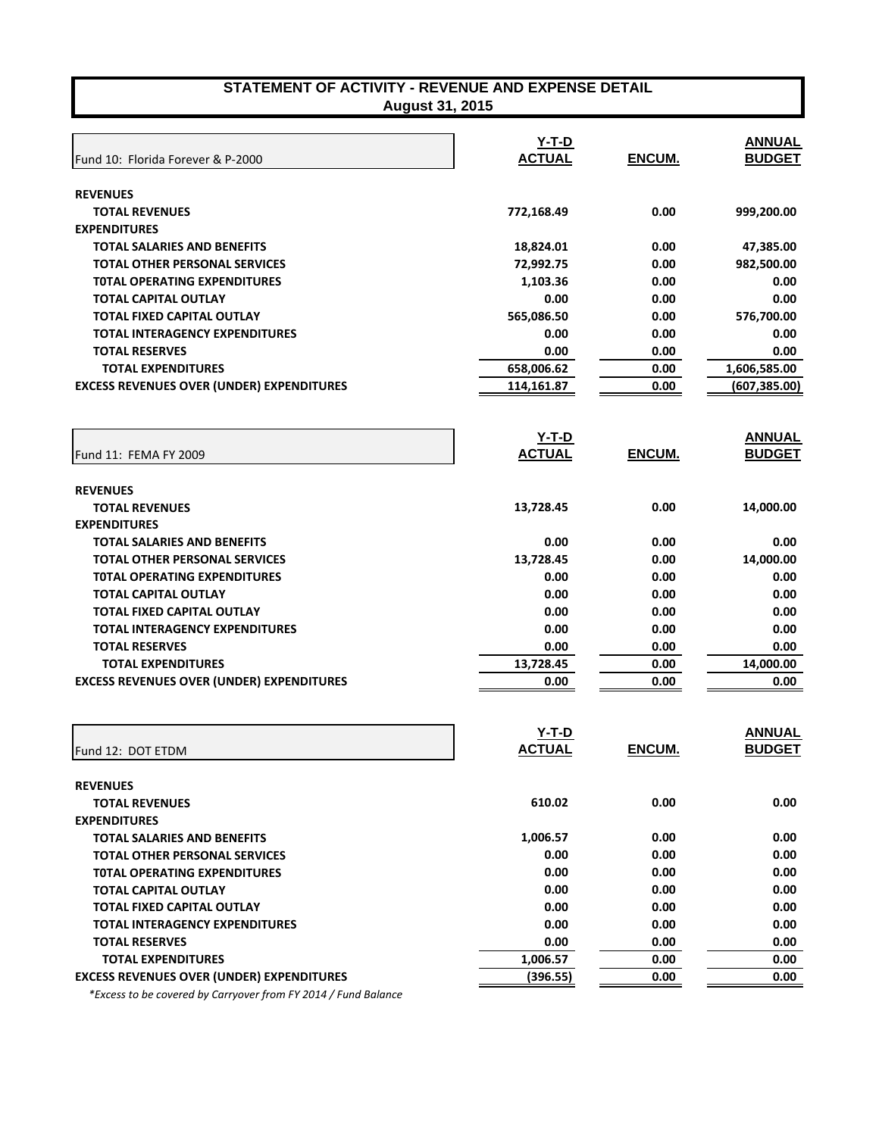| Fund 10: Florida Forever & P-2000                                                                                                                                                                                                                                                                                          | $Y-T-D$<br><b>ACTUAL</b>                                               | ENCUM.                                                       | <b>ANNUAL</b><br><b>BUDGET</b>                                         |
|----------------------------------------------------------------------------------------------------------------------------------------------------------------------------------------------------------------------------------------------------------------------------------------------------------------------------|------------------------------------------------------------------------|--------------------------------------------------------------|------------------------------------------------------------------------|
| <b>REVENUES</b>                                                                                                                                                                                                                                                                                                            |                                                                        |                                                              |                                                                        |
| <b>TOTAL REVENUES</b>                                                                                                                                                                                                                                                                                                      | 772,168.49                                                             | 0.00                                                         | 999,200.00                                                             |
| <b>EXPENDITURES</b>                                                                                                                                                                                                                                                                                                        |                                                                        |                                                              |                                                                        |
| <b>TOTAL SALARIES AND BENEFITS</b>                                                                                                                                                                                                                                                                                         | 18,824.01                                                              | 0.00                                                         | 47,385.00                                                              |
| <b>TOTAL OTHER PERSONAL SERVICES</b>                                                                                                                                                                                                                                                                                       | 72,992.75                                                              | 0.00                                                         | 982,500.00                                                             |
| <b>TOTAL OPERATING EXPENDITURES</b>                                                                                                                                                                                                                                                                                        | 1,103.36                                                               | 0.00                                                         | 0.00                                                                   |
| <b>TOTAL CAPITAL OUTLAY</b>                                                                                                                                                                                                                                                                                                | 0.00                                                                   | 0.00                                                         | 0.00                                                                   |
| <b>TOTAL FIXED CAPITAL OUTLAY</b>                                                                                                                                                                                                                                                                                          | 565,086.50                                                             | 0.00                                                         | 576,700.00                                                             |
| <b>TOTAL INTERAGENCY EXPENDITURES</b>                                                                                                                                                                                                                                                                                      | 0.00                                                                   | 0.00                                                         | 0.00                                                                   |
| <b>TOTAL RESERVES</b>                                                                                                                                                                                                                                                                                                      | 0.00                                                                   | 0.00                                                         | 0.00                                                                   |
| <b>TOTAL EXPENDITURES</b>                                                                                                                                                                                                                                                                                                  | 658,006.62                                                             | 0.00                                                         | 1,606,585.00                                                           |
| <b>EXCESS REVENUES OVER (UNDER) EXPENDITURES</b>                                                                                                                                                                                                                                                                           | 114,161.87                                                             | 0.00                                                         | (607, 385.00)                                                          |
| Fund 11: FEMA FY 2009                                                                                                                                                                                                                                                                                                      | $Y-T-D$<br><b>ACTUAL</b>                                               | ENCUM.                                                       | <b>ANNUAL</b><br><b>BUDGET</b>                                         |
| <b>REVENUES</b><br><b>TOTAL REVENUES</b><br><b>EXPENDITURES</b><br><b>TOTAL SALARIES AND BENEFITS</b><br><b>TOTAL OTHER PERSONAL SERVICES</b><br><b>TOTAL OPERATING EXPENDITURES</b><br><b>TOTAL CAPITAL OUTLAY</b><br><b>TOTAL FIXED CAPITAL OUTLAY</b><br><b>TOTAL INTERAGENCY EXPENDITURES</b><br><b>TOTAL RESERVES</b> | 13,728.45<br>0.00<br>13,728.45<br>0.00<br>0.00<br>0.00<br>0.00<br>0.00 | 0.00<br>0.00<br>0.00<br>0.00<br>0.00<br>0.00<br>0.00<br>0.00 | 14,000.00<br>0.00<br>14,000.00<br>0.00<br>0.00<br>0.00<br>0.00<br>0.00 |
| <b>TOTAL EXPENDITURES</b>                                                                                                                                                                                                                                                                                                  | 13,728.45                                                              | 0.00                                                         | 14,000.00                                                              |
| <b>EXCESS REVENUES OVER (UNDER) EXPENDITURES</b>                                                                                                                                                                                                                                                                           | 0.00                                                                   | 0.00                                                         | 0.00                                                                   |
| Fund 12: DOT ETDM                                                                                                                                                                                                                                                                                                          | Y-T-D<br><b>ACTUAL</b>                                                 | ENCUM.                                                       | <b>ANNUAL</b><br><b>BUDGET</b>                                         |

| <b>REVENUES</b>                                  |          |      |      |
|--------------------------------------------------|----------|------|------|
|                                                  |          |      |      |
| <b>TOTAL REVENUES</b>                            | 610.02   | 0.00 | 0.00 |
| <b>EXPENDITURES</b>                              |          |      |      |
| <b>TOTAL SALARIES AND BENEFITS</b>               | 1.006.57 | 0.00 | 0.00 |
| <b>TOTAL OTHER PERSONAL SERVICES</b>             | 0.00     | 0.00 | 0.00 |
| <b>TOTAL OPERATING EXPENDITURES</b>              | 0.00     | 0.00 | 0.00 |
| <b>TOTAL CAPITAL OUTLAY</b>                      | 0.00     | 0.00 | 0.00 |
| TOTAL FIXED CAPITAL OUTLAY                       | 0.00     | 0.00 | 0.00 |
| <b>TOTAL INTERAGENCY EXPENDITURES</b>            | 0.00     | 0.00 | 0.00 |
| <b>TOTAL RESERVES</b>                            | 0.00     | 0.00 | 0.00 |
| <b>TOTAL EXPENDITURES</b>                        | 1,006.57 | 0.00 | 0.00 |
| <b>EXCESS REVENUES OVER (UNDER) EXPENDITURES</b> | (396.55) | 0.00 | 0.00 |
|                                                  |          |      |      |

 *\*Excess to be covered by Carryover from FY 2014 / Fund Balance*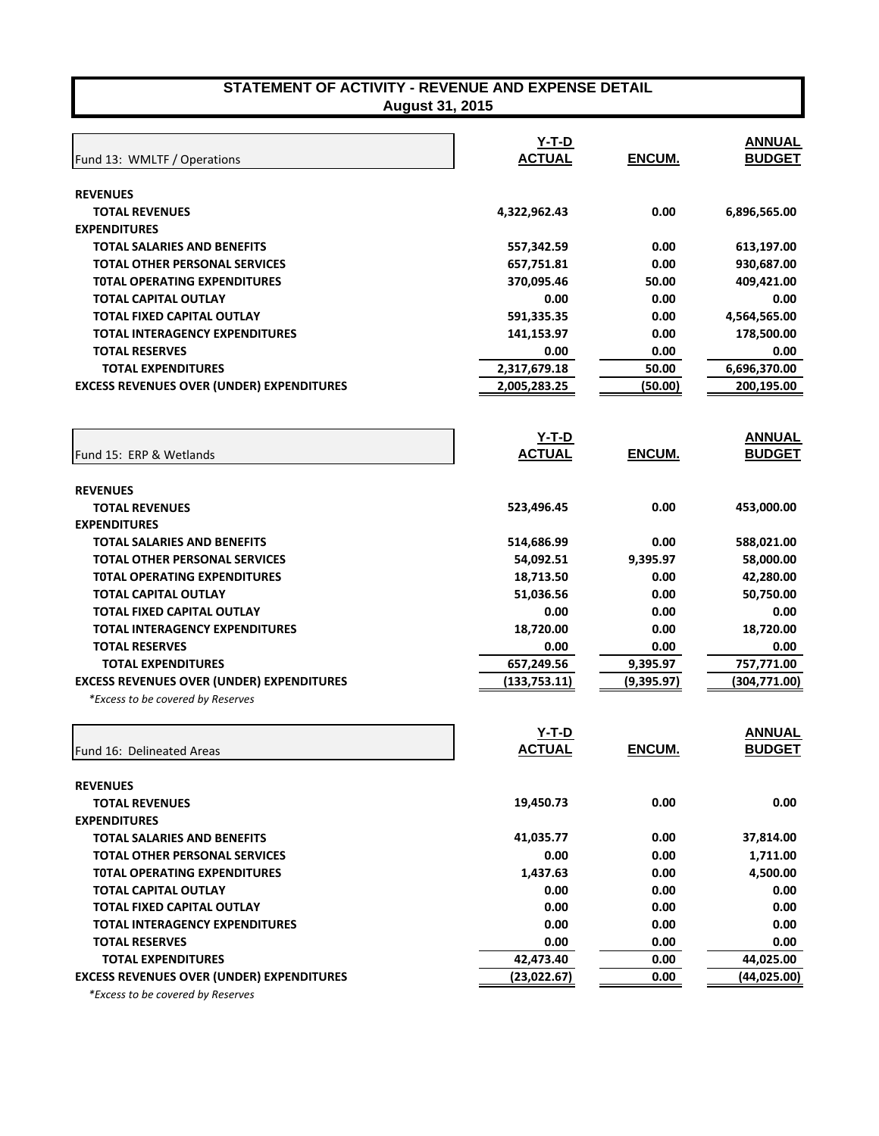| STATEMENT OF ACTIVITY - REVENUE AND EXPENSE DETAIL |  |
|----------------------------------------------------|--|
| <b>August 31, 2015</b>                             |  |

| Fund 13: WMLTF / Operations                      | Y-T-D<br><b>ACTUAL</b> | ENCUM.      | <b>ANNUAL</b><br><b>BUDGET</b> |
|--------------------------------------------------|------------------------|-------------|--------------------------------|
|                                                  |                        |             |                                |
| <b>REVENUES</b>                                  |                        |             |                                |
| <b>TOTAL REVENUES</b>                            | 4,322,962.43           | 0.00        | 6,896,565.00                   |
| <b>EXPENDITURES</b>                              |                        |             |                                |
| <b>TOTAL SALARIES AND BENEFITS</b>               | 557,342.59             | 0.00        | 613,197.00                     |
| TOTAL OTHER PERSONAL SERVICES                    | 657,751.81             | 0.00        | 930,687.00                     |
| <b>TOTAL OPERATING EXPENDITURES</b>              | 370,095.46             | 50.00       | 409,421.00                     |
| <b>TOTAL CAPITAL OUTLAY</b>                      | 0.00                   | 0.00        | 0.00                           |
| <b>TOTAL FIXED CAPITAL OUTLAY</b>                | 591,335.35             | 0.00        | 4,564,565.00                   |
| <b>TOTAL INTERAGENCY EXPENDITURES</b>            | 141,153.97             | 0.00        | 178,500.00                     |
| <b>TOTAL RESERVES</b>                            | 0.00                   | 0.00        | 0.00                           |
| <b>TOTAL EXPENDITURES</b>                        | 2,317,679.18           | 50.00       | 6,696,370.00                   |
| <b>EXCESS REVENUES OVER (UNDER) EXPENDITURES</b> | 2,005,283.25           | (50.00)     | 200,195.00                     |
|                                                  | <u>Y-T-D</u>           |             | <b>ANNUAL</b>                  |
| Fund 15: ERP & Wetlands                          | <b>ACTUAL</b>          | ENCUM.      | <b>BUDGET</b>                  |
| <b>REVENUES</b>                                  |                        |             |                                |
| <b>TOTAL REVENUES</b>                            | 523,496.45             | 0.00        | 453,000.00                     |
| <b>EXPENDITURES</b>                              |                        |             |                                |
| <b>TOTAL SALARIES AND BENEFITS</b>               | 514,686.99             | 0.00        | 588,021.00                     |
| <b>TOTAL OTHER PERSONAL SERVICES</b>             | 54,092.51              | 9,395.97    | 58,000.00                      |
| <b>TOTAL OPERATING EXPENDITURES</b>              | 18,713.50              | 0.00        | 42,280.00                      |
| <b>TOTAL CAPITAL OUTLAY</b>                      | 51,036.56              | 0.00        | 50,750.00                      |
| <b>TOTAL FIXED CAPITAL OUTLAY</b>                | 0.00                   | 0.00        | 0.00                           |
| <b>TOTAL INTERAGENCY EXPENDITURES</b>            | 18,720.00              | 0.00        | 18,720.00                      |
| <b>TOTAL RESERVES</b>                            | 0.00                   | 0.00        | 0.00                           |
| <b>TOTAL EXPENDITURES</b>                        | 657,249.56             | 9,395.97    | 757,771.00                     |
| <b>EXCESS REVENUES OVER (UNDER) EXPENDITURES</b> | (133, 753.11)          | (9, 395.97) | (304, 771.00)                  |
| *Excess to be covered by Reserves                |                        |             |                                |
|                                                  | <u>Y-T-D</u>           |             | <b>ANNUAL</b>                  |
| Fund 16: Delineated Areas                        | <b>ACTUAL</b>          | ENCUM.      | <b>BUDGET</b>                  |
| <b>REVENUES</b>                                  |                        |             |                                |
| <b>TOTAL REVENUES</b>                            | 19,450.73              | 0.00        | 0.00                           |
| <b>EXPENDITURES</b>                              |                        |             |                                |
| <b>TOTAL SALARIES AND BENEFITS</b>               | 41,035.77              | 0.00        | 37,814.00                      |
| <b>TOTAL OTHER PERSONAL SERVICES</b>             | 0.00                   | 0.00        | 1,711.00                       |
| <b>TOTAL OPERATING EXPENDITURES</b>              | 1,437.63               | 0.00        | 4,500.00                       |
| <b>TOTAL CAPITAL OUTLAY</b>                      | 0.00                   | 0.00        | 0.00                           |
| TOTAL FIXED CAPITAL OUTLAY                       | 0.00                   | 0.00        | 0.00                           |
| <b>TOTAL INTERAGENCY EXPENDITURES</b>            | 0.00                   | 0.00        | 0.00                           |
| <b>TOTAL RESERVES</b>                            | 0.00                   | 0.00        | 0.00                           |
| <b>TOTAL EXPENDITURES</b>                        | 42,473.40              | 0.00        | 44,025.00                      |
| <b>EXCESS REVENUES OVER (UNDER) EXPENDITURES</b> | (23,022.67)            | 0.00        | (44,025.00)                    |

 *\*Excess to be covered by Reserves*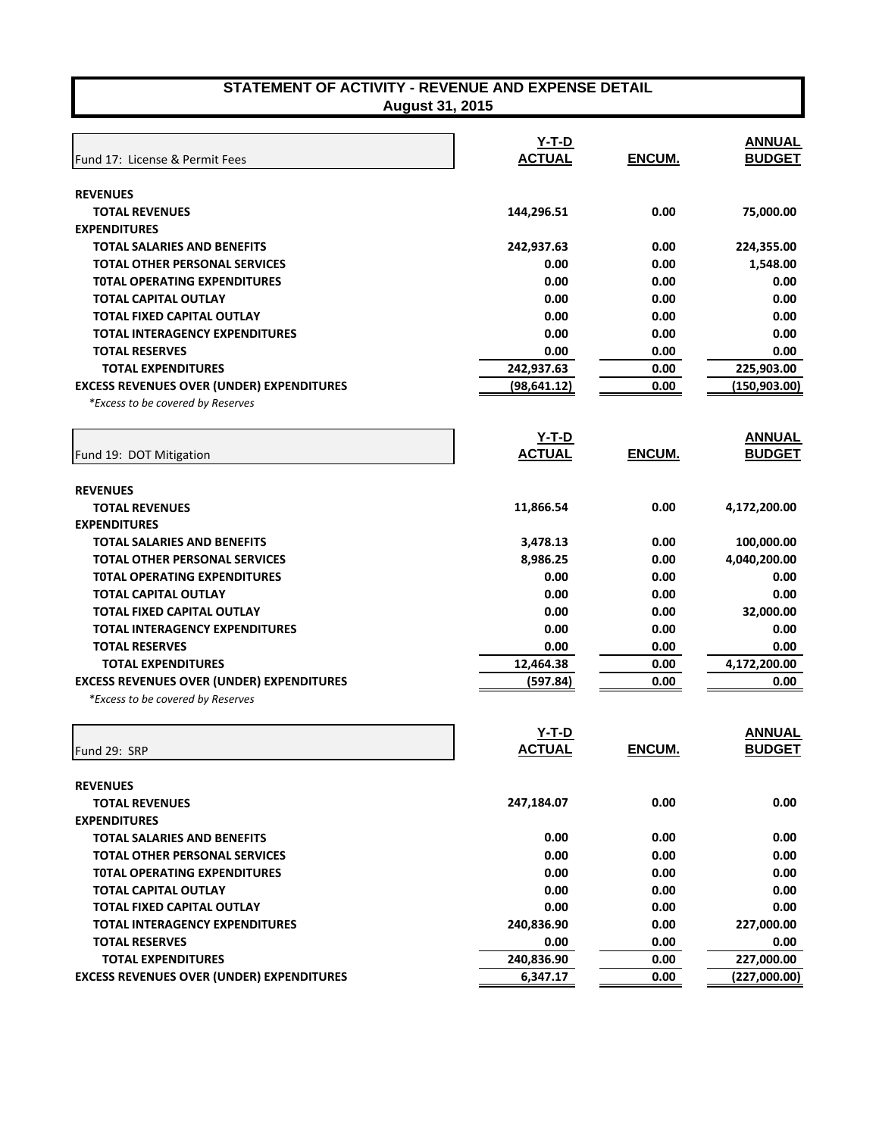| STATEMENT OF ACTIVITY - REVENUE AND EXPENSE DETAIL |
|----------------------------------------------------|
| <b>August 31, 2015</b>                             |

| <b>REVENUES</b><br>0.00<br>75,000.00<br><b>TOTAL REVENUES</b><br>144,296.51<br><b>EXPENDITURES</b><br>224,355.00<br>TOTAL SALARIES AND BENEFITS<br>242,937.63<br>0.00<br>0.00<br>1,548.00<br>TOTAL OTHER PERSONAL SERVICES<br>0.00<br>0.00<br>0.00<br>0.00<br><b>TOTAL OPERATING EXPENDITURES</b><br>0.00<br>0.00<br>0.00<br><b>TOTAL CAPITAL OUTLAY</b><br>0.00<br><b>TOTAL FIXED CAPITAL OUTLAY</b><br>0.00<br>0.00<br>0.00<br>0.00<br>0.00<br><b>TOTAL INTERAGENCY EXPENDITURES</b><br><b>TOTAL RESERVES</b><br>0.00<br>0.00<br>0.00<br>242,937.63<br>225,903.00<br>0.00<br><b>TOTAL EXPENDITURES</b><br><b>EXCESS REVENUES OVER (UNDER) EXPENDITURES</b><br>0.00<br>(98, 641.12)<br>(150, 903.00)<br>*Excess to be covered by Reserves<br>$Y-T-D$<br><b>ACTUAL</b><br>ENCUM.<br>Fund 19: DOT Mitigation<br><b>REVENUES</b><br>11,866.54<br>0.00<br>4,172,200.00<br><b>TOTAL REVENUES</b><br><b>EXPENDITURES</b><br>100,000.00<br>TOTAL SALARIES AND BENEFITS<br>3,478.13<br>0.00<br>8,986.25<br>0.00<br>4,040,200.00<br><b>TOTAL OTHER PERSONAL SERVICES</b><br>0.00<br>0.00<br><b>TOTAL OPERATING EXPENDITURES</b><br>0.00<br>0.00<br>0.00<br>TOTAL CAPITAL OUTLAY<br>0.00<br><b>TOTAL FIXED CAPITAL OUTLAY</b><br>0.00<br>0.00<br>32,000.00<br><b>TOTAL INTERAGENCY EXPENDITURES</b><br>0.00<br>0.00<br>0.00<br><b>TOTAL RESERVES</b><br>0.00<br>0.00<br>0.00<br><b>TOTAL EXPENDITURES</b><br>12,464.38<br>0.00<br>4,172,200.00<br><b>EXCESS REVENUES OVER (UNDER) EXPENDITURES</b><br>0.00<br>(597.84)<br>0.00<br>*Excess to be covered by Reserves<br><b>ANNUAL</b><br><u>Y-T-D</u><br><b>ENCUM.</b><br><b>ACTUAL</b><br>Fund 29: SRP<br><b>REVENUES</b><br><b>TOTAL REVENUES</b><br>247,184.07<br>0.00<br>0.00<br><b>EXPENDITURES</b><br>0.00<br>0.00<br>0.00<br><b>TOTAL SALARIES AND BENEFITS</b><br>0.00<br>0.00<br><b>TOTAL OTHER PERSONAL SERVICES</b><br>0.00<br>0.00<br><b>TOTAL OPERATING EXPENDITURES</b><br>0.00<br>0.00<br><b>TOTAL CAPITAL OUTLAY</b><br>0.00<br>0.00<br>0.00<br>TOTAL FIXED CAPITAL OUTLAY<br>0.00<br>0.00<br>0.00<br>240,836.90<br>0.00<br>227,000.00<br><b>TOTAL INTERAGENCY EXPENDITURES</b><br>0.00<br>0.00<br>0.00<br><b>TOTAL RESERVES</b> | Fund 17: License & Permit Fees | <u>Y-T-D</u><br><b>ACTUAL</b> | ENCUM. | <b>ANNUAL</b><br><b>BUDGET</b> |
|----------------------------------------------------------------------------------------------------------------------------------------------------------------------------------------------------------------------------------------------------------------------------------------------------------------------------------------------------------------------------------------------------------------------------------------------------------------------------------------------------------------------------------------------------------------------------------------------------------------------------------------------------------------------------------------------------------------------------------------------------------------------------------------------------------------------------------------------------------------------------------------------------------------------------------------------------------------------------------------------------------------------------------------------------------------------------------------------------------------------------------------------------------------------------------------------------------------------------------------------------------------------------------------------------------------------------------------------------------------------------------------------------------------------------------------------------------------------------------------------------------------------------------------------------------------------------------------------------------------------------------------------------------------------------------------------------------------------------------------------------------------------------------------------------------------------------------------------------------------------------------------------------------------------------------------------------------------------------------------------------------------------------------------------------------------------------------------------------------------------------------------------------------------------------------------|--------------------------------|-------------------------------|--------|--------------------------------|
|                                                                                                                                                                                                                                                                                                                                                                                                                                                                                                                                                                                                                                                                                                                                                                                                                                                                                                                                                                                                                                                                                                                                                                                                                                                                                                                                                                                                                                                                                                                                                                                                                                                                                                                                                                                                                                                                                                                                                                                                                                                                                                                                                                                        |                                |                               |        |                                |
|                                                                                                                                                                                                                                                                                                                                                                                                                                                                                                                                                                                                                                                                                                                                                                                                                                                                                                                                                                                                                                                                                                                                                                                                                                                                                                                                                                                                                                                                                                                                                                                                                                                                                                                                                                                                                                                                                                                                                                                                                                                                                                                                                                                        |                                |                               |        |                                |
|                                                                                                                                                                                                                                                                                                                                                                                                                                                                                                                                                                                                                                                                                                                                                                                                                                                                                                                                                                                                                                                                                                                                                                                                                                                                                                                                                                                                                                                                                                                                                                                                                                                                                                                                                                                                                                                                                                                                                                                                                                                                                                                                                                                        |                                |                               |        |                                |
|                                                                                                                                                                                                                                                                                                                                                                                                                                                                                                                                                                                                                                                                                                                                                                                                                                                                                                                                                                                                                                                                                                                                                                                                                                                                                                                                                                                                                                                                                                                                                                                                                                                                                                                                                                                                                                                                                                                                                                                                                                                                                                                                                                                        |                                |                               |        |                                |
|                                                                                                                                                                                                                                                                                                                                                                                                                                                                                                                                                                                                                                                                                                                                                                                                                                                                                                                                                                                                                                                                                                                                                                                                                                                                                                                                                                                                                                                                                                                                                                                                                                                                                                                                                                                                                                                                                                                                                                                                                                                                                                                                                                                        |                                |                               |        |                                |
|                                                                                                                                                                                                                                                                                                                                                                                                                                                                                                                                                                                                                                                                                                                                                                                                                                                                                                                                                                                                                                                                                                                                                                                                                                                                                                                                                                                                                                                                                                                                                                                                                                                                                                                                                                                                                                                                                                                                                                                                                                                                                                                                                                                        |                                |                               |        |                                |
|                                                                                                                                                                                                                                                                                                                                                                                                                                                                                                                                                                                                                                                                                                                                                                                                                                                                                                                                                                                                                                                                                                                                                                                                                                                                                                                                                                                                                                                                                                                                                                                                                                                                                                                                                                                                                                                                                                                                                                                                                                                                                                                                                                                        |                                |                               |        |                                |
|                                                                                                                                                                                                                                                                                                                                                                                                                                                                                                                                                                                                                                                                                                                                                                                                                                                                                                                                                                                                                                                                                                                                                                                                                                                                                                                                                                                                                                                                                                                                                                                                                                                                                                                                                                                                                                                                                                                                                                                                                                                                                                                                                                                        |                                |                               |        |                                |
|                                                                                                                                                                                                                                                                                                                                                                                                                                                                                                                                                                                                                                                                                                                                                                                                                                                                                                                                                                                                                                                                                                                                                                                                                                                                                                                                                                                                                                                                                                                                                                                                                                                                                                                                                                                                                                                                                                                                                                                                                                                                                                                                                                                        |                                |                               |        |                                |
|                                                                                                                                                                                                                                                                                                                                                                                                                                                                                                                                                                                                                                                                                                                                                                                                                                                                                                                                                                                                                                                                                                                                                                                                                                                                                                                                                                                                                                                                                                                                                                                                                                                                                                                                                                                                                                                                                                                                                                                                                                                                                                                                                                                        |                                |                               |        |                                |
|                                                                                                                                                                                                                                                                                                                                                                                                                                                                                                                                                                                                                                                                                                                                                                                                                                                                                                                                                                                                                                                                                                                                                                                                                                                                                                                                                                                                                                                                                                                                                                                                                                                                                                                                                                                                                                                                                                                                                                                                                                                                                                                                                                                        |                                |                               |        |                                |
|                                                                                                                                                                                                                                                                                                                                                                                                                                                                                                                                                                                                                                                                                                                                                                                                                                                                                                                                                                                                                                                                                                                                                                                                                                                                                                                                                                                                                                                                                                                                                                                                                                                                                                                                                                                                                                                                                                                                                                                                                                                                                                                                                                                        |                                |                               |        |                                |
|                                                                                                                                                                                                                                                                                                                                                                                                                                                                                                                                                                                                                                                                                                                                                                                                                                                                                                                                                                                                                                                                                                                                                                                                                                                                                                                                                                                                                                                                                                                                                                                                                                                                                                                                                                                                                                                                                                                                                                                                                                                                                                                                                                                        |                                |                               |        |                                |
|                                                                                                                                                                                                                                                                                                                                                                                                                                                                                                                                                                                                                                                                                                                                                                                                                                                                                                                                                                                                                                                                                                                                                                                                                                                                                                                                                                                                                                                                                                                                                                                                                                                                                                                                                                                                                                                                                                                                                                                                                                                                                                                                                                                        |                                |                               |        |                                |
|                                                                                                                                                                                                                                                                                                                                                                                                                                                                                                                                                                                                                                                                                                                                                                                                                                                                                                                                                                                                                                                                                                                                                                                                                                                                                                                                                                                                                                                                                                                                                                                                                                                                                                                                                                                                                                                                                                                                                                                                                                                                                                                                                                                        |                                |                               |        | <b>ANNUAL</b>                  |
|                                                                                                                                                                                                                                                                                                                                                                                                                                                                                                                                                                                                                                                                                                                                                                                                                                                                                                                                                                                                                                                                                                                                                                                                                                                                                                                                                                                                                                                                                                                                                                                                                                                                                                                                                                                                                                                                                                                                                                                                                                                                                                                                                                                        |                                |                               |        | <b>BUDGET</b>                  |
|                                                                                                                                                                                                                                                                                                                                                                                                                                                                                                                                                                                                                                                                                                                                                                                                                                                                                                                                                                                                                                                                                                                                                                                                                                                                                                                                                                                                                                                                                                                                                                                                                                                                                                                                                                                                                                                                                                                                                                                                                                                                                                                                                                                        |                                |                               |        |                                |
|                                                                                                                                                                                                                                                                                                                                                                                                                                                                                                                                                                                                                                                                                                                                                                                                                                                                                                                                                                                                                                                                                                                                                                                                                                                                                                                                                                                                                                                                                                                                                                                                                                                                                                                                                                                                                                                                                                                                                                                                                                                                                                                                                                                        |                                |                               |        |                                |
|                                                                                                                                                                                                                                                                                                                                                                                                                                                                                                                                                                                                                                                                                                                                                                                                                                                                                                                                                                                                                                                                                                                                                                                                                                                                                                                                                                                                                                                                                                                                                                                                                                                                                                                                                                                                                                                                                                                                                                                                                                                                                                                                                                                        |                                |                               |        |                                |
|                                                                                                                                                                                                                                                                                                                                                                                                                                                                                                                                                                                                                                                                                                                                                                                                                                                                                                                                                                                                                                                                                                                                                                                                                                                                                                                                                                                                                                                                                                                                                                                                                                                                                                                                                                                                                                                                                                                                                                                                                                                                                                                                                                                        |                                |                               |        |                                |
|                                                                                                                                                                                                                                                                                                                                                                                                                                                                                                                                                                                                                                                                                                                                                                                                                                                                                                                                                                                                                                                                                                                                                                                                                                                                                                                                                                                                                                                                                                                                                                                                                                                                                                                                                                                                                                                                                                                                                                                                                                                                                                                                                                                        |                                |                               |        |                                |
|                                                                                                                                                                                                                                                                                                                                                                                                                                                                                                                                                                                                                                                                                                                                                                                                                                                                                                                                                                                                                                                                                                                                                                                                                                                                                                                                                                                                                                                                                                                                                                                                                                                                                                                                                                                                                                                                                                                                                                                                                                                                                                                                                                                        |                                |                               |        |                                |
|                                                                                                                                                                                                                                                                                                                                                                                                                                                                                                                                                                                                                                                                                                                                                                                                                                                                                                                                                                                                                                                                                                                                                                                                                                                                                                                                                                                                                                                                                                                                                                                                                                                                                                                                                                                                                                                                                                                                                                                                                                                                                                                                                                                        |                                |                               |        |                                |
|                                                                                                                                                                                                                                                                                                                                                                                                                                                                                                                                                                                                                                                                                                                                                                                                                                                                                                                                                                                                                                                                                                                                                                                                                                                                                                                                                                                                                                                                                                                                                                                                                                                                                                                                                                                                                                                                                                                                                                                                                                                                                                                                                                                        |                                |                               |        |                                |
|                                                                                                                                                                                                                                                                                                                                                                                                                                                                                                                                                                                                                                                                                                                                                                                                                                                                                                                                                                                                                                                                                                                                                                                                                                                                                                                                                                                                                                                                                                                                                                                                                                                                                                                                                                                                                                                                                                                                                                                                                                                                                                                                                                                        |                                |                               |        |                                |
|                                                                                                                                                                                                                                                                                                                                                                                                                                                                                                                                                                                                                                                                                                                                                                                                                                                                                                                                                                                                                                                                                                                                                                                                                                                                                                                                                                                                                                                                                                                                                                                                                                                                                                                                                                                                                                                                                                                                                                                                                                                                                                                                                                                        |                                |                               |        |                                |
|                                                                                                                                                                                                                                                                                                                                                                                                                                                                                                                                                                                                                                                                                                                                                                                                                                                                                                                                                                                                                                                                                                                                                                                                                                                                                                                                                                                                                                                                                                                                                                                                                                                                                                                                                                                                                                                                                                                                                                                                                                                                                                                                                                                        |                                |                               |        |                                |
|                                                                                                                                                                                                                                                                                                                                                                                                                                                                                                                                                                                                                                                                                                                                                                                                                                                                                                                                                                                                                                                                                                                                                                                                                                                                                                                                                                                                                                                                                                                                                                                                                                                                                                                                                                                                                                                                                                                                                                                                                                                                                                                                                                                        |                                |                               |        |                                |
|                                                                                                                                                                                                                                                                                                                                                                                                                                                                                                                                                                                                                                                                                                                                                                                                                                                                                                                                                                                                                                                                                                                                                                                                                                                                                                                                                                                                                                                                                                                                                                                                                                                                                                                                                                                                                                                                                                                                                                                                                                                                                                                                                                                        |                                |                               |        |                                |
|                                                                                                                                                                                                                                                                                                                                                                                                                                                                                                                                                                                                                                                                                                                                                                                                                                                                                                                                                                                                                                                                                                                                                                                                                                                                                                                                                                                                                                                                                                                                                                                                                                                                                                                                                                                                                                                                                                                                                                                                                                                                                                                                                                                        |                                |                               |        |                                |
|                                                                                                                                                                                                                                                                                                                                                                                                                                                                                                                                                                                                                                                                                                                                                                                                                                                                                                                                                                                                                                                                                                                                                                                                                                                                                                                                                                                                                                                                                                                                                                                                                                                                                                                                                                                                                                                                                                                                                                                                                                                                                                                                                                                        |                                |                               |        | <b>BUDGET</b>                  |
|                                                                                                                                                                                                                                                                                                                                                                                                                                                                                                                                                                                                                                                                                                                                                                                                                                                                                                                                                                                                                                                                                                                                                                                                                                                                                                                                                                                                                                                                                                                                                                                                                                                                                                                                                                                                                                                                                                                                                                                                                                                                                                                                                                                        |                                |                               |        |                                |
|                                                                                                                                                                                                                                                                                                                                                                                                                                                                                                                                                                                                                                                                                                                                                                                                                                                                                                                                                                                                                                                                                                                                                                                                                                                                                                                                                                                                                                                                                                                                                                                                                                                                                                                                                                                                                                                                                                                                                                                                                                                                                                                                                                                        |                                |                               |        |                                |
|                                                                                                                                                                                                                                                                                                                                                                                                                                                                                                                                                                                                                                                                                                                                                                                                                                                                                                                                                                                                                                                                                                                                                                                                                                                                                                                                                                                                                                                                                                                                                                                                                                                                                                                                                                                                                                                                                                                                                                                                                                                                                                                                                                                        |                                |                               |        |                                |
|                                                                                                                                                                                                                                                                                                                                                                                                                                                                                                                                                                                                                                                                                                                                                                                                                                                                                                                                                                                                                                                                                                                                                                                                                                                                                                                                                                                                                                                                                                                                                                                                                                                                                                                                                                                                                                                                                                                                                                                                                                                                                                                                                                                        |                                |                               |        |                                |
|                                                                                                                                                                                                                                                                                                                                                                                                                                                                                                                                                                                                                                                                                                                                                                                                                                                                                                                                                                                                                                                                                                                                                                                                                                                                                                                                                                                                                                                                                                                                                                                                                                                                                                                                                                                                                                                                                                                                                                                                                                                                                                                                                                                        |                                |                               |        |                                |
|                                                                                                                                                                                                                                                                                                                                                                                                                                                                                                                                                                                                                                                                                                                                                                                                                                                                                                                                                                                                                                                                                                                                                                                                                                                                                                                                                                                                                                                                                                                                                                                                                                                                                                                                                                                                                                                                                                                                                                                                                                                                                                                                                                                        |                                |                               |        |                                |
|                                                                                                                                                                                                                                                                                                                                                                                                                                                                                                                                                                                                                                                                                                                                                                                                                                                                                                                                                                                                                                                                                                                                                                                                                                                                                                                                                                                                                                                                                                                                                                                                                                                                                                                                                                                                                                                                                                                                                                                                                                                                                                                                                                                        |                                |                               |        |                                |
|                                                                                                                                                                                                                                                                                                                                                                                                                                                                                                                                                                                                                                                                                                                                                                                                                                                                                                                                                                                                                                                                                                                                                                                                                                                                                                                                                                                                                                                                                                                                                                                                                                                                                                                                                                                                                                                                                                                                                                                                                                                                                                                                                                                        |                                |                               |        |                                |
|                                                                                                                                                                                                                                                                                                                                                                                                                                                                                                                                                                                                                                                                                                                                                                                                                                                                                                                                                                                                                                                                                                                                                                                                                                                                                                                                                                                                                                                                                                                                                                                                                                                                                                                                                                                                                                                                                                                                                                                                                                                                                                                                                                                        |                                |                               |        |                                |
|                                                                                                                                                                                                                                                                                                                                                                                                                                                                                                                                                                                                                                                                                                                                                                                                                                                                                                                                                                                                                                                                                                                                                                                                                                                                                                                                                                                                                                                                                                                                                                                                                                                                                                                                                                                                                                                                                                                                                                                                                                                                                                                                                                                        |                                |                               |        |                                |
| <b>TOTAL EXPENDITURES</b><br>240,836.90<br>0.00<br>227,000.00                                                                                                                                                                                                                                                                                                                                                                                                                                                                                                                                                                                                                                                                                                                                                                                                                                                                                                                                                                                                                                                                                                                                                                                                                                                                                                                                                                                                                                                                                                                                                                                                                                                                                                                                                                                                                                                                                                                                                                                                                                                                                                                          |                                |                               |        |                                |
| <b>EXCESS REVENUES OVER (UNDER) EXPENDITURES</b><br>6,347.17<br>0.00                                                                                                                                                                                                                                                                                                                                                                                                                                                                                                                                                                                                                                                                                                                                                                                                                                                                                                                                                                                                                                                                                                                                                                                                                                                                                                                                                                                                                                                                                                                                                                                                                                                                                                                                                                                                                                                                                                                                                                                                                                                                                                                   |                                |                               |        | (227,000.00)                   |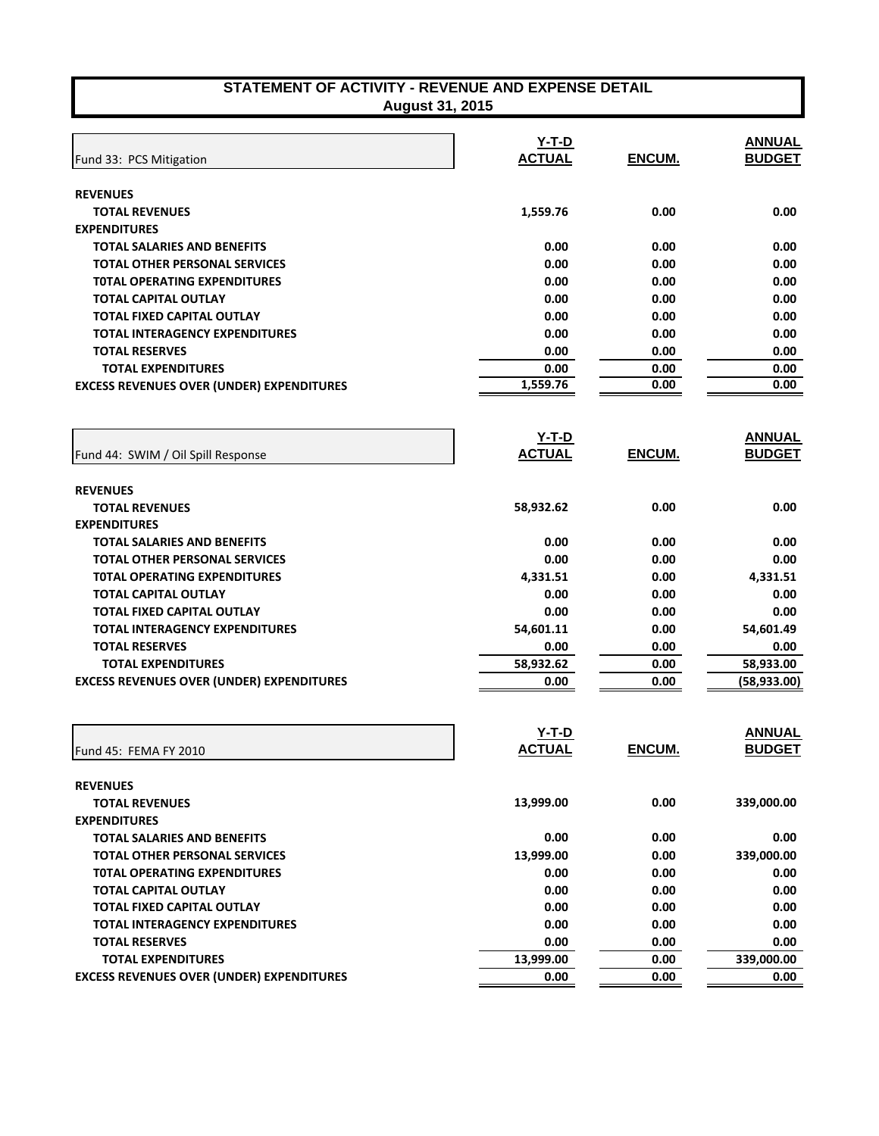| STATEMENT OF ACTIVITY - REVENUE AND EXPENSE DETAIL |
|----------------------------------------------------|
| <b>August 31, 2015</b>                             |

| Fund 33: PCS Mitigation                          | $Y-T-D$<br><b>ACTUAL</b>      | ENCUM.        | <b>ANNUAL</b><br><b>BUDGET</b> |
|--------------------------------------------------|-------------------------------|---------------|--------------------------------|
|                                                  |                               |               |                                |
| <b>REVENUES</b>                                  |                               |               |                                |
| <b>TOTAL REVENUES</b>                            | 1,559.76                      | 0.00          | 0.00                           |
| <b>EXPENDITURES</b>                              |                               |               |                                |
| <b>TOTAL SALARIES AND BENEFITS</b>               | 0.00                          | 0.00          | 0.00                           |
| <b>TOTAL OTHER PERSONAL SERVICES</b>             | 0.00                          | 0.00          | 0.00                           |
| <b>TOTAL OPERATING EXPENDITURES</b>              | 0.00                          | 0.00          | 0.00                           |
| <b>TOTAL CAPITAL OUTLAY</b>                      | 0.00                          | 0.00          | 0.00                           |
| TOTAL FIXED CAPITAL OUTLAY                       | 0.00                          | 0.00          | 0.00                           |
| <b>TOTAL INTERAGENCY EXPENDITURES</b>            | 0.00                          | 0.00          | 0.00                           |
| <b>TOTAL RESERVES</b>                            | 0.00                          | 0.00          | 0.00                           |
| <b>TOTAL EXPENDITURES</b>                        | 0.00                          | 0.00          | 0.00                           |
| <b>EXCESS REVENUES OVER (UNDER) EXPENDITURES</b> | 1,559.76                      | 0.00          | 0.00                           |
|                                                  | <u>Y-T-D</u>                  |               | <b>ANNUAL</b>                  |
| Fund 44: SWIM / Oil Spill Response               | <b>ACTUAL</b>                 | <b>ENCUM.</b> | <b>BUDGET</b>                  |
| <b>REVENUES</b>                                  |                               |               |                                |
| <b>TOTAL REVENUES</b>                            | 58,932.62                     | 0.00          | 0.00                           |
| <b>EXPENDITURES</b>                              |                               |               |                                |
| TOTAL SALARIES AND BENEFITS                      | 0.00                          | 0.00          | 0.00                           |
| TOTAL OTHER PERSONAL SERVICES                    | 0.00                          | 0.00          | 0.00                           |
| <b>TOTAL OPERATING EXPENDITURES</b>              | 4,331.51                      | 0.00          | 4,331.51                       |
| <b>TOTAL CAPITAL OUTLAY</b>                      | 0.00                          | 0.00          | 0.00                           |
| <b>TOTAL FIXED CAPITAL OUTLAY</b>                | 0.00                          | 0.00          | 0.00                           |
| <b>TOTAL INTERAGENCY EXPENDITURES</b>            | 54,601.11                     | 0.00          | 54,601.49                      |
| <b>TOTAL RESERVES</b>                            | 0.00                          | 0.00          | 0.00                           |
| <b>TOTAL EXPENDITURES</b>                        | 58,932.62                     | 0.00          | 58,933.00                      |
| <b>EXCESS REVENUES OVER (UNDER) EXPENDITURES</b> | 0.00                          | 0.00          | (58, 933.00)                   |
|                                                  |                               |               |                                |
|                                                  | <u>Y-T-D</u><br><b>ACTUAL</b> | <b>ENCUM.</b> | <b>ANNUAL</b>                  |
| Fund 45: FEMA FY 2010                            |                               |               | <b>BUDGET</b>                  |
| <b>REVENUES</b>                                  |                               |               |                                |
| <b>TOTAL REVENUES</b>                            | 13,999.00                     | 0.00          | 339,000.00                     |
| <b>EXPENDITURES</b>                              |                               |               |                                |
| TOTAL SALARIES AND BENEFITS                      | 0.00                          | 0.00          | 0.00                           |
| <b>TOTAL OTHER PERSONAL SERVICES</b>             | 13,999.00                     | 0.00          | 339,000.00                     |
| <b>TOTAL OPERATING EXPENDITURES</b>              | 0.00                          | 0.00          | 0.00                           |
| TOTAL CAPITAL OUTLAY                             | 0.00                          | 0.00          | 0.00                           |
| <b>TOTAL FIXED CAPITAL OUTLAY</b>                | 0.00                          | 0.00          | 0.00                           |
| <b>TOTAL INTERAGENCY EXPENDITURES</b>            | 0.00                          | 0.00          | 0.00                           |
| <b>TOTAL RESERVES</b>                            | 0.00                          | 0.00          | 0.00                           |
| <b>TOTAL EXPENDITURES</b>                        | 13,999.00                     | 0.00          | 339,000.00                     |
| <b>EXCESS REVENUES OVER (UNDER) EXPENDITURES</b> | 0.00                          | 0.00          | 0.00                           |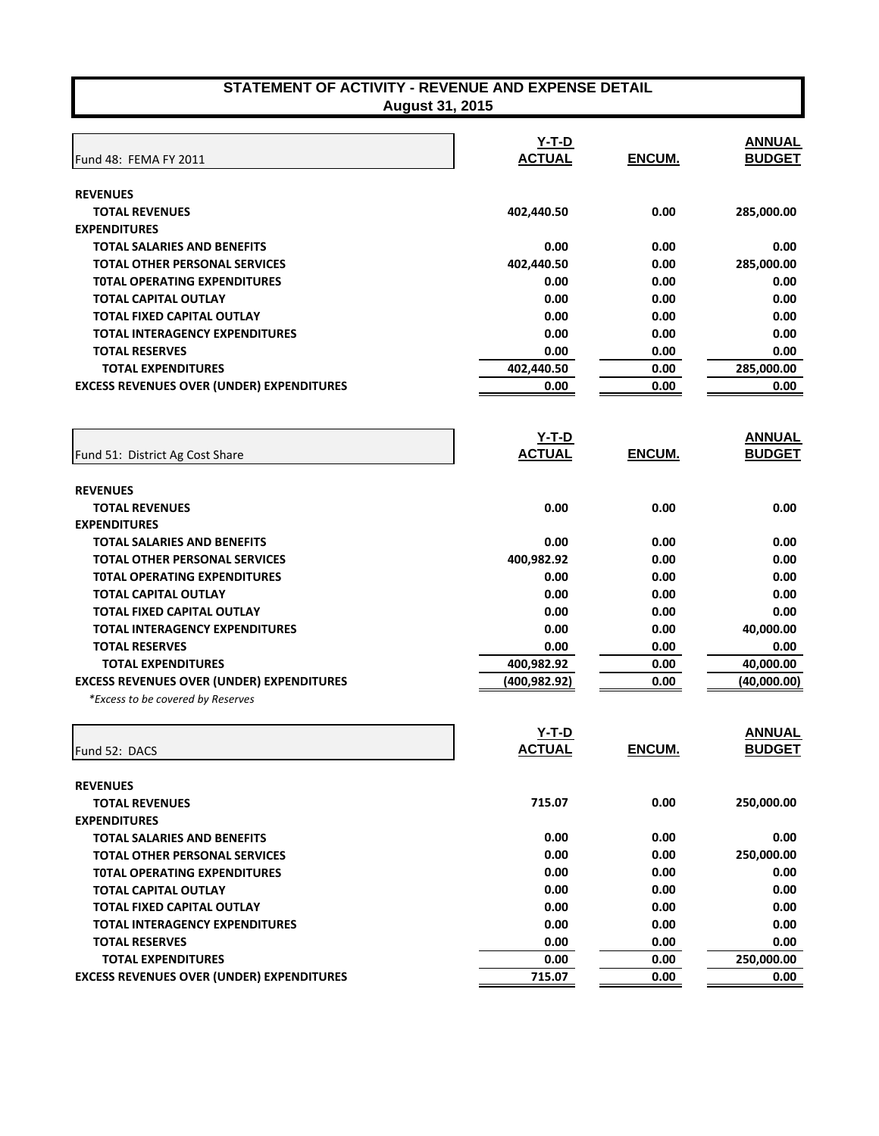|                                                  | Y-T-D         |        | <b>ANNUAL</b> |
|--------------------------------------------------|---------------|--------|---------------|
| Fund 48: FEMA FY 2011                            | <b>ACTUAL</b> | ENCUM. | <b>BUDGET</b> |
| <b>REVENUES</b>                                  |               |        |               |
| <b>TOTAL REVENUES</b>                            | 402,440.50    | 0.00   | 285,000.00    |
| <b>EXPENDITURES</b>                              |               |        |               |
| <b>TOTAL SALARIES AND BENEFITS</b>               | 0.00          | 0.00   | 0.00          |
| <b>TOTAL OTHER PERSONAL SERVICES</b>             | 402,440.50    | 0.00   | 285,000.00    |
| <b>TOTAL OPERATING EXPENDITURES</b>              | 0.00          | 0.00   | 0.00          |
| <b>TOTAL CAPITAL OUTLAY</b>                      | 0.00          | 0.00   | 0.00          |
| TOTAL FIXED CAPITAL OUTLAY                       | 0.00          | 0.00   | 0.00          |
| TOTAL INTERAGENCY EXPENDITURES                   | 0.00          | 0.00   | 0.00          |
| <b>TOTAL RESERVES</b>                            | 0.00          | 0.00   | 0.00          |
| <b>TOTAL EXPENDITURES</b>                        | 402,440.50    | 0.00   | 285,000.00    |
| <b>EXCESS REVENUES OVER (UNDER) EXPENDITURES</b> | 0.00          | 0.00   | 0.00          |
|                                                  |               |        |               |
|                                                  | <u>Y-T-D</u>  |        | <b>ANNUAL</b> |
| Fund 51: District Ag Cost Share                  | <b>ACTUAL</b> | ENCUM. | <b>BUDGET</b> |
| <b>REVENUES</b>                                  |               |        |               |
| <b>TOTAL REVENUES</b>                            | 0.00          | 0.00   | 0.00          |
| <b>EXPENDITURES</b>                              |               |        |               |
| <b>TOTAL SALARIES AND BENEFITS</b>               | 0.00          | 0.00   | 0.00          |
| <b>TOTAL OTHER PERSONAL SERVICES</b>             | 400,982.92    | 0.00   | 0.00          |
| <b>TOTAL OPERATING EXPENDITURES</b>              | 0.00          | 0.00   | 0.00          |
| <b>TOTAL CAPITAL OUTLAY</b>                      | 0.00          | 0.00   | 0.00          |
| <b>TOTAL FIXED CAPITAL OUTLAY</b>                | 0.00          | 0.00   | 0.00          |
| <b>TOTAL INTERAGENCY EXPENDITURES</b>            | 0.00          | 0.00   | 40,000.00     |
| <b>TOTAL RESERVES</b>                            | 0.00          | 0.00   | 0.00          |
| <b>TOTAL EXPENDITURES</b>                        | 400,982.92    | 0.00   | 40,000.00     |
| <b>EXCESS REVENUES OVER (UNDER) EXPENDITURES</b> | (400, 982.92) | 0.00   | (40,000.00)   |
| *Excess to be covered by Reserves                |               |        |               |
|                                                  | $Y-T-D$       |        | <b>ANNUAL</b> |
| Fund 52: DACS                                    | <b>ACTUAL</b> | ENCUM. | <b>BUDGET</b> |
| <b>REVENUES</b>                                  |               |        |               |
| <b>TOTAL REVENUES</b>                            | 715.07        | 0.00   | 250,000.00    |
| <b>EXPENDITURES</b>                              |               |        |               |
| <b>TOTAL SALARIES AND BENEFITS</b>               | 0.00          | 0.00   | 0.00          |
| <b>TOTAL OTHER PERSONAL SERVICES</b>             | 0.00          | 0.00   | 250,000.00    |
| <b>TOTAL OPERATING EXPENDITURES</b>              | 0.00          | 0.00   | 0.00          |
| <b>TOTAL CAPITAL OUTLAY</b>                      | 0.00          | 0.00   | 0.00          |
| <b>TOTAL FIXED CAPITAL OUTLAY</b>                | 0.00          | 0.00   | 0.00          |
| TOTAL INITED ACENCY EVOENDITUDES                 | n nn          | n nn   | n nn          |

**TOTAL INTERAGENCY EXPENDITURES 0.00 0.00 0.00 TOTAL RESERVES 0.00 0.00 0.00 TOTAL EXPENDITURES** 0.00 0.00 0.00 250,000.00 **EXCESS REVENUES OVER (UNDER) EXPENDITURES 1989 120 120 13 13.07** 0.00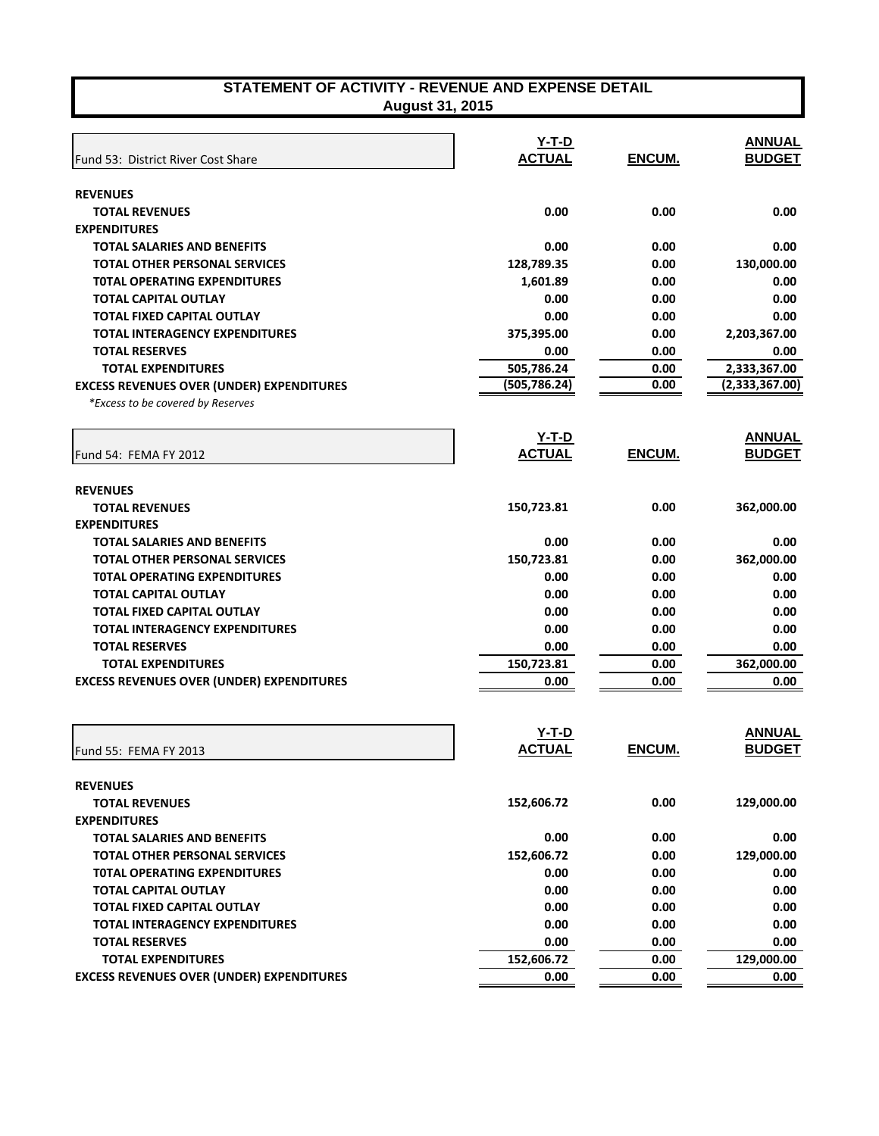| STATEMENT OF ACTIVITY - REVENUE AND EXPENSE DETAIL |
|----------------------------------------------------|
| <b>August 31, 2015</b>                             |

| Fund 53: District River Cost Share               | $Y-T-D$<br><b>ACTUAL</b> | ENCUM.        | <b>ANNUAL</b><br><b>BUDGET</b> |
|--------------------------------------------------|--------------------------|---------------|--------------------------------|
|                                                  |                          |               |                                |
| <b>REVENUES</b><br><b>TOTAL REVENUES</b>         | 0.00                     | 0.00          | 0.00                           |
| <b>EXPENDITURES</b>                              |                          |               |                                |
| <b>TOTAL SALARIES AND BENEFITS</b>               | 0.00                     | 0.00          | 0.00                           |
| <b>TOTAL OTHER PERSONAL SERVICES</b>             | 128,789.35               | 0.00          | 130,000.00                     |
| <b>TOTAL OPERATING EXPENDITURES</b>              | 1,601.89                 | 0.00          | 0.00                           |
| <b>TOTAL CAPITAL OUTLAY</b>                      | 0.00                     | 0.00          | 0.00                           |
| <b>TOTAL FIXED CAPITAL OUTLAY</b>                | 0.00                     | 0.00          | 0.00                           |
| <b>TOTAL INTERAGENCY EXPENDITURES</b>            | 375,395.00               | 0.00          | 2,203,367.00                   |
| <b>TOTAL RESERVES</b>                            | 0.00                     | 0.00          | 0.00                           |
| <b>TOTAL EXPENDITURES</b>                        | 505,786.24               | 0.00          | 2,333,367.00                   |
| <b>EXCESS REVENUES OVER (UNDER) EXPENDITURES</b> | (505, 786.24)            | 0.00          | (2,333,367.00)                 |
| *Excess to be covered by Reserves                |                          |               |                                |
|                                                  | <u>Y-T-D</u>             |               | <b>ANNUAL</b>                  |
| Fund 54: FEMA FY 2012                            | <b>ACTUAL</b>            | ENCUM.        | <b>BUDGET</b>                  |
| <b>REVENUES</b>                                  |                          |               |                                |
| <b>TOTAL REVENUES</b>                            | 150,723.81               | 0.00          | 362,000.00                     |
| <b>EXPENDITURES</b>                              |                          |               |                                |
| <b>TOTAL SALARIES AND BENEFITS</b>               | 0.00                     | 0.00          | 0.00                           |
| <b>TOTAL OTHER PERSONAL SERVICES</b>             | 150,723.81               | 0.00          | 362,000.00                     |
| <b>TOTAL OPERATING EXPENDITURES</b>              | 0.00                     | 0.00          | 0.00                           |
| <b>TOTAL CAPITAL OUTLAY</b>                      | 0.00                     | 0.00          | 0.00                           |
| <b>TOTAL FIXED CAPITAL OUTLAY</b>                | 0.00                     | 0.00          | 0.00                           |
| <b>TOTAL INTERAGENCY EXPENDITURES</b>            | 0.00                     | 0.00          | 0.00                           |
| <b>TOTAL RESERVES</b>                            | 0.00                     | 0.00          | 0.00                           |
| <b>TOTAL EXPENDITURES</b>                        | 150,723.81               | 0.00          | 362,000.00                     |
| <b>EXCESS REVENUES OVER (UNDER) EXPENDITURES</b> | 0.00                     | 0.00          | 0.00                           |
|                                                  |                          |               |                                |
|                                                  | Y-T-D                    |               | <b>ANNUAL</b>                  |
| Fund 55: FEMA FY 2013                            | <u>ACTUAL</u>            | <b>ENCUM.</b> | <b>BUDGET</b>                  |
| <b>REVENUES</b>                                  |                          |               |                                |
| <b>TOTAL REVENUES</b>                            | 152,606.72               | 0.00          | 129,000.00                     |
| <b>EXPENDITURES</b>                              |                          |               |                                |
| <b>TOTAL SALARIES AND BENEFITS</b>               | 0.00                     | 0.00          | 0.00                           |
| <b>TOTAL OTHER PERSONAL SERVICES</b>             | 152,606.72               | 0.00          | 129,000.00                     |
| <b>TOTAL OPERATING EXPENDITURES</b>              | 0.00                     | 0.00          | 0.00                           |
| <b>TOTAL CAPITAL OUTLAY</b>                      | 0.00                     | 0.00          | 0.00                           |
| <b>TOTAL FIXED CAPITAL OUTLAY</b>                | 0.00                     | 0.00          | 0.00                           |
| <b>TOTAL INTERAGENCY EXPENDITURES</b>            | 0.00                     | 0.00          | 0.00                           |
| <b>TOTAL RESERVES</b>                            | 0.00                     | 0.00          | 0.00                           |
| <b>TOTAL EXPENDITURES</b>                        | 152,606.72               | 0.00          | 129,000.00                     |
| <b>EXCESS REVENUES OVER (UNDER) EXPENDITURES</b> | 0.00                     | 0.00          | 0.00                           |